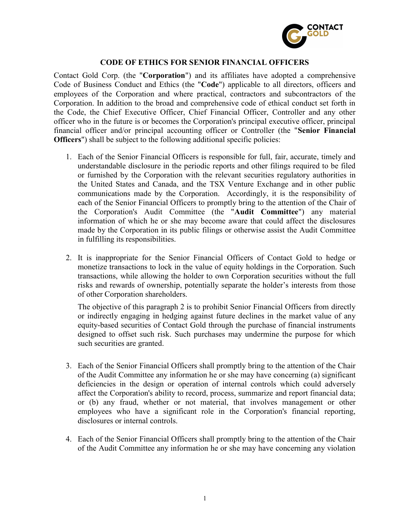

## CODE OF ETHICS FOR SENIOR FINANCIAL OFFICERS

Contact Gold Corp. (the "Corporation") and its affiliates have adopted a comprehensive Code of Business Conduct and Ethics (the "Code") applicable to all directors, officers and employees of the Corporation and where practical, contractors and subcontractors of the Corporation. In addition to the broad and comprehensive code of ethical conduct set forth in the Code, the Chief Executive Officer, Chief Financial Officer, Controller and any other officer who in the future is or becomes the Corporation's principal executive officer, principal financial officer and/or principal accounting officer or Controller (the "Senior Financial Officers") shall be subject to the following additional specific policies:

- 1. Each of the Senior Financial Officers is responsible for full, fair, accurate, timely and understandable disclosure in the periodic reports and other filings required to be filed or furnished by the Corporation with the relevant securities regulatory authorities in the United States and Canada, and the TSX Venture Exchange and in other public communications made by the Corporation. Accordingly, it is the responsibility of each of the Senior Financial Officers to promptly bring to the attention of the Chair of the Corporation's Audit Committee (the "Audit Committee") any material information of which he or she may become aware that could affect the disclosures made by the Corporation in its public filings or otherwise assist the Audit Committee in fulfilling its responsibilities.
- 2. It is inappropriate for the Senior Financial Officers of Contact Gold to hedge or monetize transactions to lock in the value of equity holdings in the Corporation. Such transactions, while allowing the holder to own Corporation securities without the full risks and rewards of ownership, potentially separate the holder's interests from those of other Corporation shareholders.

The objective of this paragraph 2 is to prohibit Senior Financial Officers from directly or indirectly engaging in hedging against future declines in the market value of any equity-based securities of Contact Gold through the purchase of financial instruments designed to offset such risk. Such purchases may undermine the purpose for which such securities are granted.

- 3. Each of the Senior Financial Officers shall promptly bring to the attention of the Chair of the Audit Committee any information he or she may have concerning (a) significant deficiencies in the design or operation of internal controls which could adversely affect the Corporation's ability to record, process, summarize and report financial data; or (b) any fraud, whether or not material, that involves management or other employees who have a significant role in the Corporation's financial reporting, disclosures or internal controls.
- 4. Each of the Senior Financial Officers shall promptly bring to the attention of the Chair of the Audit Committee any information he or she may have concerning any violation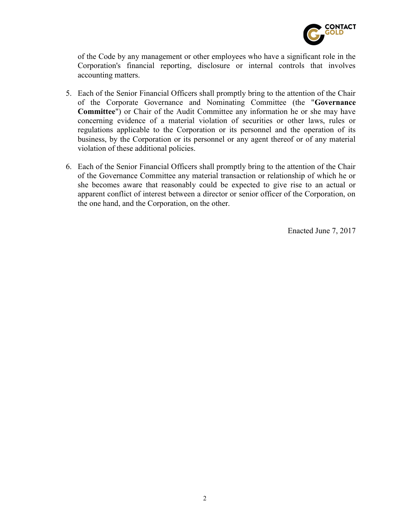

of the Code by any management or other employees who have a significant role in the Corporation's financial reporting, disclosure or internal controls that involves accounting matters.

- 5. Each of the Senior Financial Officers shall promptly bring to the attention of the Chair of the Corporate Governance and Nominating Committee (the "Governance Committee") or Chair of the Audit Committee any information he or she may have concerning evidence of a material violation of securities or other laws, rules or regulations applicable to the Corporation or its personnel and the operation of its business, by the Corporation or its personnel or any agent thereof or of any material violation of these additional policies.
- 6. Each of the Senior Financial Officers shall promptly bring to the attention of the Chair of the Governance Committee any material transaction or relationship of which he or she becomes aware that reasonably could be expected to give rise to an actual or apparent conflict of interest between a director or senior officer of the Corporation, on the one hand, and the Corporation, on the other.

Enacted June 7, 2017